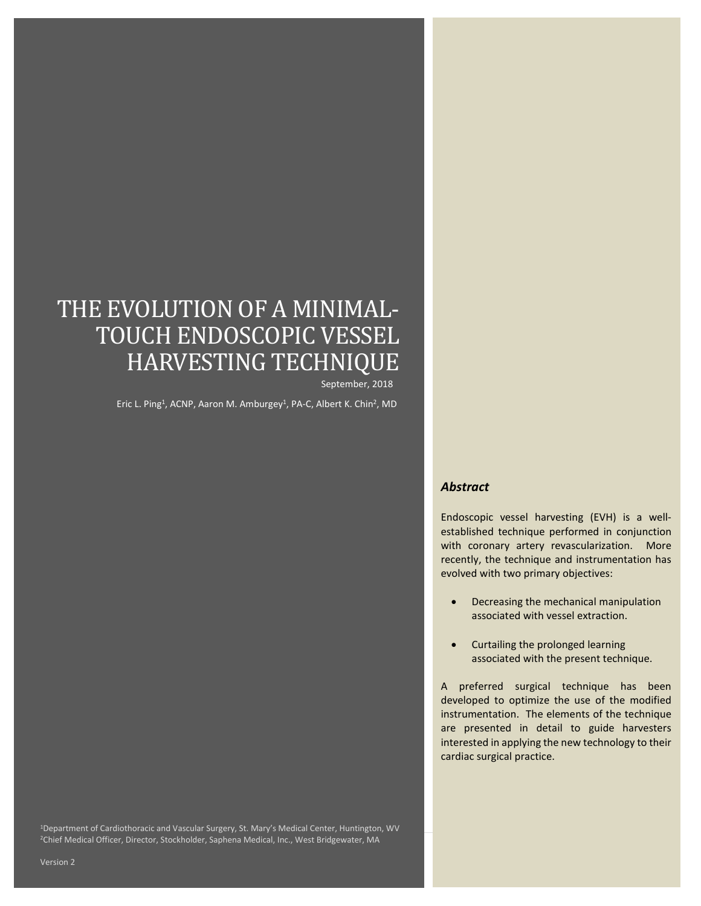# THE EVOLUTION OF A MINIMAL-TOUCH ENDOSCOPIC VESSEL HARVESTING TECHNIQUE

September, 2018

Eric L. Ping<sup>1</sup>, ACNP, Aaron M. Amburgey<sup>1</sup>, PA-C, Albert K. Chin<sup>2</sup>, MD

#### *Abstract*

Endoscopic vessel harvesting (EVH) is a wellestablished technique performed in conjunction with coronary artery revascularization. More recently, the technique and instrumentation has evolved with two primary objectives:

- Decreasing the mechanical manipulation associated with vessel extraction.
- Curtailing the prolonged learning associated with the present technique.

A preferred surgical technique has been developed to optimize the use of the modified instrumentation. The elements of the technique are presented in detail to guide harvesters interested in applying the new technology to their cardiac surgical practice.

1Department of Cardiothoracic and Vascular Surgery, St. Mary's Medical Center, Huntington, WV 2Chief Medical Officer, Director, Stockholder, Saphena Medical, Inc., West Bridgewater, MA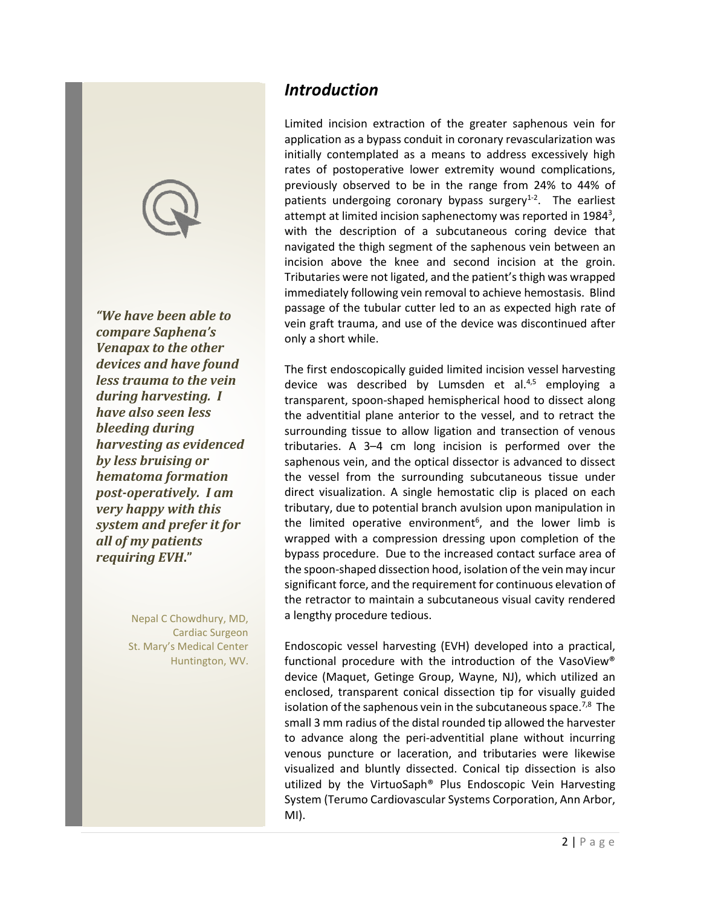

*"We have been able to compare Saphena's Venapax to the other devices and have found less trauma to the vein during harvesting. I have also seen less bleeding during harvesting as evidenced by less bruising or hematoma formation post-operatively. I am very happy with this system and prefer it for all of my patients requiring EVH***."**

> Nepal C Chowdhury, MD, Cardiac Surgeon St. Mary's Medical Center Huntington, WV.

### *Introduction*

Limited incision extraction of the greater saphenous vein for application as a bypass conduit in coronary revascularization was initially contemplated as a means to address excessively high rates of postoperative lower extremity wound complications, previously observed to be in the range from 24% to 44% of patients undergoing coronary bypass surgery $1-2$ . The earliest attempt at limited incision saphenectomy was reported in 1984<sup>3</sup>, with the description of a subcutaneous coring device that navigated the thigh segment of the saphenous vein between an incision above the knee and second incision at the groin. Tributaries were not ligated, and the patient's thigh was wrapped immediately following vein removal to achieve hemostasis. Blind passage of the tubular cutter led to an as expected high rate of vein graft trauma, and use of the device was discontinued after only a short while.

The first endoscopically guided limited incision vessel harvesting device was described by Lumsden et al. $4,5$  employing a transparent, spoon-shaped hemispherical hood to dissect along the adventitial plane anterior to the vessel, and to retract the surrounding tissue to allow ligation and transection of venous tributaries. A 3–4 cm long incision is performed over the saphenous vein, and the optical dissector is advanced to dissect the vessel from the surrounding subcutaneous tissue under direct visualization. A single hemostatic clip is placed on each tributary, due to potential branch avulsion upon manipulation in the limited operative environment<sup>6</sup>, and the lower limb is wrapped with a compression dressing upon completion of the bypass procedure. Due to the increased contact surface area of the spoon-shaped dissection hood, isolation of the vein may incur significant force, and the requirement for continuous elevation of the retractor to maintain a subcutaneous visual cavity rendered a lengthy procedure tedious.

Endoscopic vessel harvesting (EVH) developed into a practical, functional procedure with the introduction of the VasoView® device (Maquet, Getinge Group, Wayne, NJ), which utilized an enclosed, transparent conical dissection tip for visually guided isolation of the saphenous vein in the subcutaneous space.<sup>7,8</sup> The small 3 mm radius of the distal rounded tip allowed the harvester to advance along the peri-adventitial plane without incurring venous puncture or laceration, and tributaries were likewise visualized and bluntly dissected. Conical tip dissection is also utilized by the VirtuoSaph® Plus Endoscopic Vein Harvesting System (Terumo Cardiovascular Systems Corporation, Ann Arbor, MI).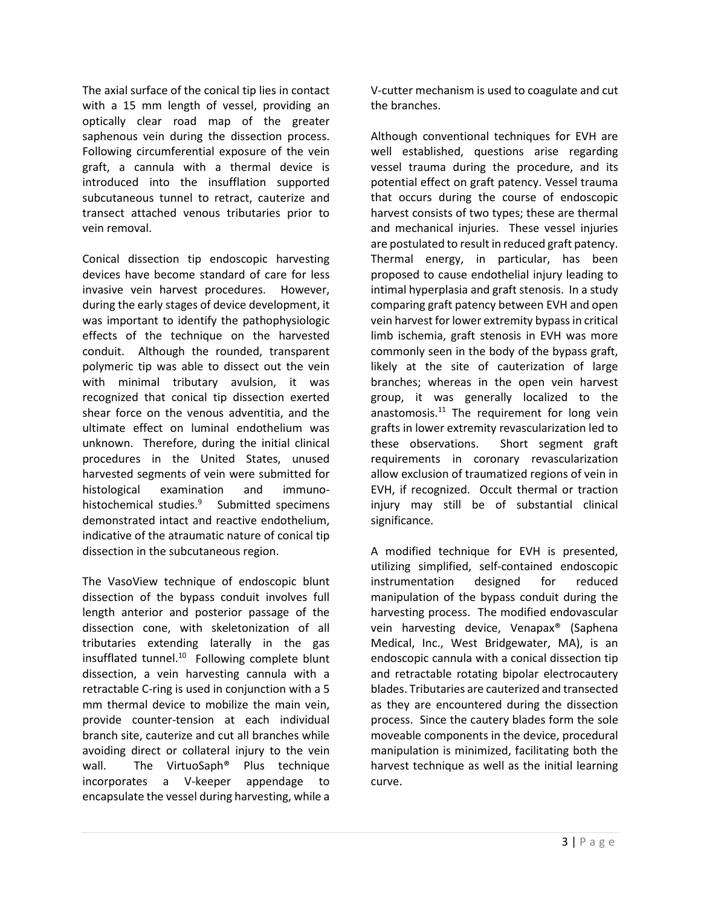The axial surface of the conical tip lies in contact with a 15 mm length of vessel, providing an optically clear road map of the greater saphenous vein during the dissection process. Following circumferential exposure of the vein graft, a cannula with a thermal device is introduced into the insufflation supported subcutaneous tunnel to retract, cauterize and transect attached venous tributaries prior to vein removal.

Conical dissection tip endoscopic harvesting devices have become standard of care for less invasive vein harvest procedures. However, during the early stages of device development, it was important to identify the pathophysiologic effects of the technique on the harvested conduit. Although the rounded, transparent polymeric tip was able to dissect out the vein with minimal tributary avulsion, it was recognized that conical tip dissection exerted shear force on the venous adventitia, and the ultimate effect on luminal endothelium was unknown. Therefore, during the initial clinical procedures in the United States, unused harvested segments of vein were submitted for histological examination and immunohistochemical studies.<sup>9</sup> Submitted specimens demonstrated intact and reactive endothelium, indicative of the atraumatic nature of conical tip dissection in the subcutaneous region.

The VasoView technique of endoscopic blunt dissection of the bypass conduit involves full length anterior and posterior passage of the dissection cone, with skeletonization of all tributaries extending laterally in the gas insufflated tunnel.<sup>10</sup> Following complete blunt dissection, a vein harvesting cannula with a retractable C-ring is used in conjunction with a 5 mm thermal device to mobilize the main vein, provide counter-tension at each individual branch site, cauterize and cut all branches while avoiding direct or collateral injury to the vein wall. The VirtuoSaph® Plus technique incorporates a V-keeper appendage to encapsulate the vessel during harvesting, while a

V-cutter mechanism is used to coagulate and cut the branches.

Although conventional techniques for EVH are well established, questions arise regarding vessel trauma during the procedure, and its potential effect on graft patency. Vessel trauma that occurs during the course of endoscopic harvest consists of two types; these are thermal and mechanical injuries. These vessel injuries are postulated to result in reduced graft patency. Thermal energy, in particular, has been proposed to cause endothelial injury leading to intimal hyperplasia and graft stenosis. In a study comparing graft patency between EVH and open vein harvest for lower extremity bypass in critical limb ischemia, graft stenosis in EVH was more commonly seen in the body of the bypass graft, likely at the site of cauterization of large branches; whereas in the open vein harvest group, it was generally localized to the anastomosis. $11$  The requirement for long vein grafts in lower extremity revascularization led to these observations. Short segment graft requirements in coronary revascularization allow exclusion of traumatized regions of vein in EVH, if recognized. Occult thermal or traction injury may still be of substantial clinical significance.

A modified technique for EVH is presented, utilizing simplified, self-contained endoscopic instrumentation designed for reduced manipulation of the bypass conduit during the harvesting process. The modified endovascular vein harvesting device, Venapax® (Saphena Medical, Inc., West Bridgewater, MA), is an endoscopic cannula with a conical dissection tip and retractable rotating bipolar electrocautery blades. Tributaries are cauterized and transected as they are encountered during the dissection process. Since the cautery blades form the sole moveable components in the device, procedural manipulation is minimized, facilitating both the harvest technique as well as the initial learning curve.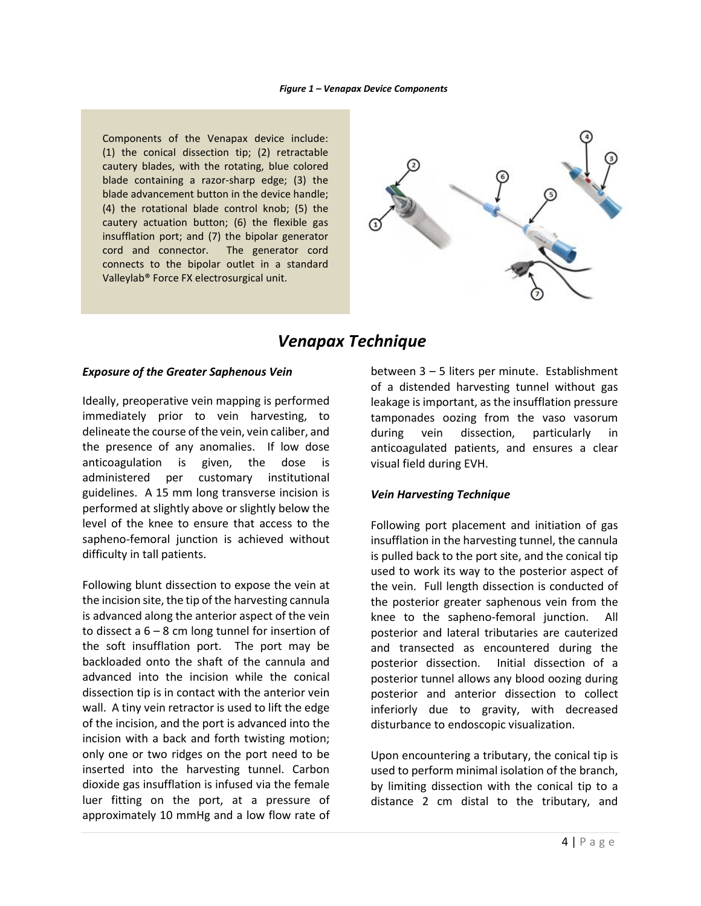#### *Figure 1 – Venapax Device Components*

Components of the Venapax device include: (1) the conical dissection tip; (2) retractable cautery blades, with the rotating, blue colored blade containing a razor-sharp edge; (3) the blade advancement button in the device handle; (4) the rotational blade control knob; (5) the cautery actuation button; (6) the flexible gas insufflation port; and (7) the bipolar generator cord and connector. The generator cord connects to the bipolar outlet in a standard Valleylab® Force FX electrosurgical unit.



### *Venapax Technique*

#### *Exposure of the Greater Saphenous Vein*

Ideally, preoperative vein mapping is performed immediately prior to vein harvesting, to delineate the course of the vein, vein caliber, and the presence of any anomalies. If low dose anticoagulation is given, the dose is administered per customary institutional guidelines. A 15 mm long transverse incision is performed at slightly above or slightly below the level of the knee to ensure that access to the sapheno-femoral junction is achieved without difficulty in tall patients.

Following blunt dissection to expose the vein at the incision site, the tip of the harvesting cannula is advanced along the anterior aspect of the vein to dissect a  $6 - 8$  cm long tunnel for insertion of the soft insufflation port. The port may be backloaded onto the shaft of the cannula and advanced into the incision while the conical dissection tip is in contact with the anterior vein wall. A tiny vein retractor is used to lift the edge of the incision, and the port is advanced into the incision with a back and forth twisting motion; only one or two ridges on the port need to be inserted into the harvesting tunnel. Carbon dioxide gas insufflation is infused via the female luer fitting on the port, at a pressure of approximately 10 mmHg and a low flow rate of

between 3 – 5 liters per minute. Establishment of a distended harvesting tunnel without gas leakage is important, as the insufflation pressure tamponades oozing from the vaso vasorum during vein dissection, particularly in anticoagulated patients, and ensures a clear visual field during EVH.

#### *Vein Harvesting Technique*

Following port placement and initiation of gas insufflation in the harvesting tunnel, the cannula is pulled back to the port site, and the conical tip used to work its way to the posterior aspect of the vein. Full length dissection is conducted of the posterior greater saphenous vein from the knee to the sapheno-femoral junction. All posterior and lateral tributaries are cauterized and transected as encountered during the posterior dissection. Initial dissection of a posterior tunnel allows any blood oozing during posterior and anterior dissection to collect inferiorly due to gravity, with decreased disturbance to endoscopic visualization.

Upon encountering a tributary, the conical tip is used to perform minimal isolation of the branch, by limiting dissection with the conical tip to a distance 2 cm distal to the tributary, and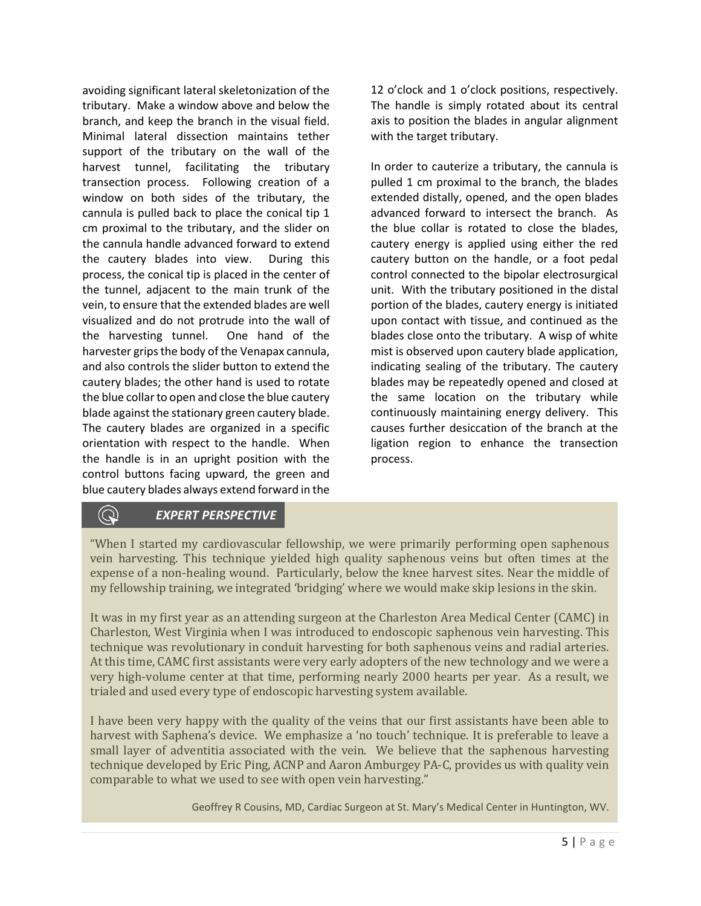avoiding significant lateral skeletonization of the tributary. Make a window above and below the branch, and keep the branch in the visual field. Minimal lateral dissection maintains tether support of the tributary on the wall of the harvest tunnel, facilitating the tributary transection process. Following creation of a window on both sides of the tributary, the cannula is pulled back to place the conical tip 1 cm proximal to the tributary, and the slider on the cannula handle advanced forward to extend the cautery blades into view. During this process, the conical tip is placed in the center of the tunnel, adjacent to the main trunk of the vein, to ensure that the extended blades are well visualized and do not protrude into the wall of the harvesting tunnel. One hand of the harvester grips the body of the Venapax cannula, and also controls the slider button to extend the cautery blades; the other hand is used to rotate the blue collar to open and close the blue cautery blade against the stationary green cautery blade. The cautery blades are organized in a specific orientation with respect to the handle. When the handle is in an upright position with the control buttons facing upward, the green and blue cautery blades always extend forward in the

12 o'clock and 1 o'clock positions, respectively. The handle is simply rotated about its central axis to position the blades in angular alignment with the target tributary.

In order to cauterize a tributary, the cannula is pulled 1 cm proximal to the branch, the blades extended distally, opened, and the open blades advanced forward to intersect the branch. As the blue collar is rotated to close the blades, cautery energy is applied using either the red cautery button on the handle, or a foot pedal control connected to the bipolar electrosurgical unit. With the tributary positioned in the distal portion of the blades, cautery energy is initiated upon contact with tissue, and continued as the blades close onto the tributary. A wisp of white mist is observed upon cautery blade application, indicating sealing of the tributary. The cautery blades may be repeatedly opened and closed at the same location on the tributary while continuously maintaining energy delivery. This causes further desiccation of the branch at the ligation region to enhance the transection process.

### *EXPERT PERSPECTIVE*

 $\left( \bigcirc \right)$ 

"When I started my cardiovascular fellowship, we were primarily performing open saphenous vein harvesting. This technique yielded high quality saphenous veins but often times at the expense of a non-healing wound. Particularly, below the knee harvest sites. Near the middle of my fellowship training, we integrated 'bridging' where we would make skip lesions in the skin.

It was in my first year as an attending surgeon at the Charleston Area Medical Center (CAMC) in Charleston, West Virginia when I was introduced to endoscopic saphenous vein harvesting. This technique was revolutionary in conduit harvesting for both saphenous veins and radial arteries. At this time, CAMC first assistants were very early adopters of the new technology and we were a very high-volume center at that time, performing nearly 2000 hearts per year. As a result, we trialed and used every type of endoscopic harvesting system available.

I have been very happy with the quality of the veins that our first assistants have been able to harvest with Saphena's device. We emphasize a 'no touch' technique. It is preferable to leave a small layer of adventitia associated with the vein. We believe that the saphenous harvesting technique developed by Eric Ping, ACNP and Aaron Amburgey PA-C, provides us with quality vein comparable to what we used to see with open vein harvesting."

Geoffrey R Cousins, MD, Cardiac Surgeon at St. Mary's Medical Center in Huntington, WV.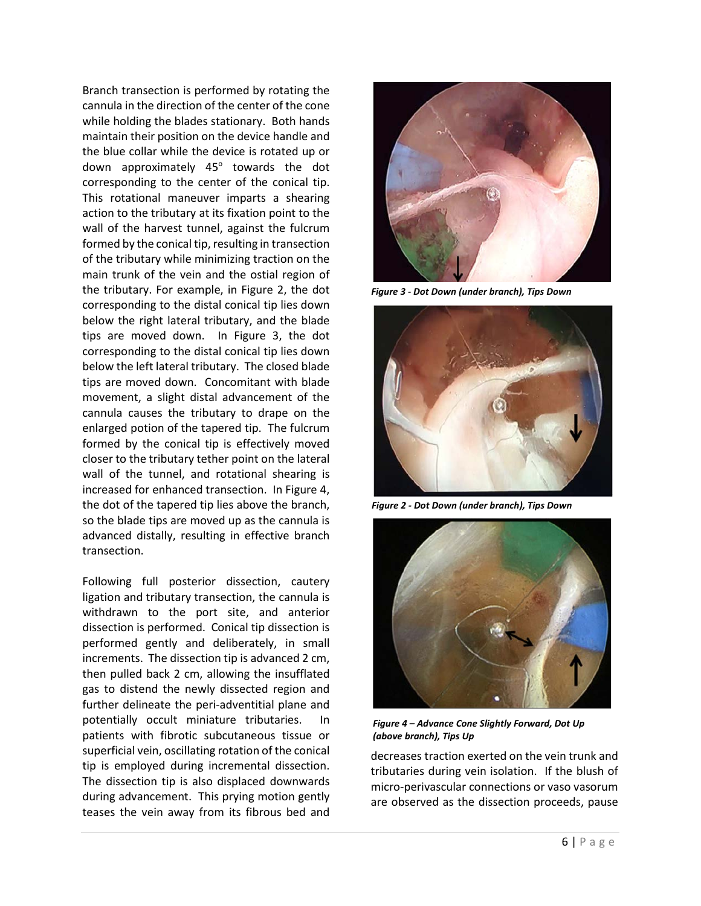Branch transection is performed by rotating the cannula in the direction of the center of the cone while holding the blades stationary. Both hands maintain their position on the device handle and the blue collar while the device is rotated up or down approximately  $45^\circ$  towards the dot corresponding to the center of the conical tip. This rotational maneuver imparts a shearing action to the tributary at its fixation point to the wall of the harvest tunnel, against the fulcrum formed by the conical tip, resulting in transection of the tributary while minimizing traction on the main trunk of the vein and the ostial region of the tributary. For example, in Figure 2, the dot corresponding to the distal conical tip lies down below the right lateral tributary, and the blade tips are moved down. In Figure 3, the dot corresponding to the distal conical tip lies down below the left lateral tributary. The closed blade tips are moved down. Concomitant with blade movement, a slight distal advancement of the cannula causes the tributary to drape on the enlarged potion of the tapered tip. The fulcrum formed by the conical tip is effectively moved closer to the tributary tether point on the lateral wall of the tunnel, and rotational shearing is increased for enhanced transection. In Figure 4, the dot of the tapered tip lies above the branch, so the blade tips are moved up as the cannula is advanced distally, resulting in effective branch transection.

Following full posterior dissection, cautery ligation and tributary transection, the cannula is withdrawn to the port site, and anterior dissection is performed. Conical tip dissection is performed gently and deliberately, in small increments. The dissection tip is advanced 2 cm, then pulled back 2 cm, allowing the insufflated gas to distend the newly dissected region and further delineate the peri-adventitial plane and potentially occult miniature tributaries. In patients with fibrotic subcutaneous tissue or superficial vein, oscillating rotation of the conical tip is employed during incremental dissection. The dissection tip is also displaced downwards during advancement. This prying motion gently teases the vein away from its fibrous bed and



*Figure 3 - Dot Down (under branch), Tips Down*



*Figure 2 - Dot Down (under branch), Tips Down*



*Figure 4 – Advance Cone Slightly Forward, Dot Up (above branch), Tips Up*

decreases traction exerted on the vein trunk and tributaries during vein isolation. If the blush of micro-perivascular connections or vaso vasorum are observed as the dissection proceeds, pause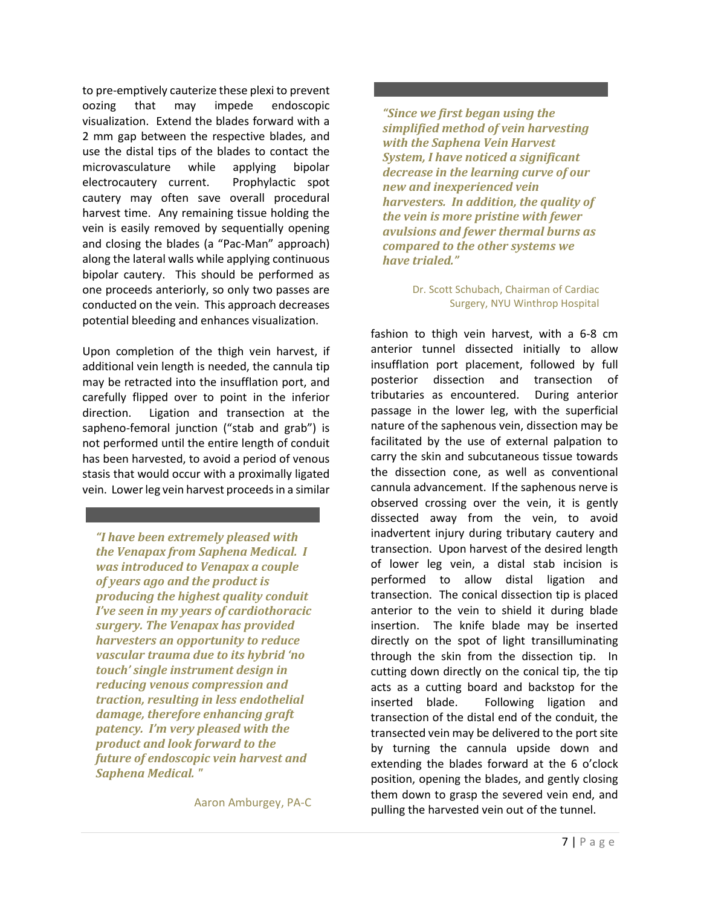to pre-emptively cauterize these plexi to prevent oozing that may impede endoscopic visualization. Extend the blades forward with a 2 mm gap between the respective blades, and use the distal tips of the blades to contact the microvasculature while applying bipolar electrocautery current. Prophylactic spot cautery may often save overall procedural harvest time. Any remaining tissue holding the vein is easily removed by sequentially opening and closing the blades (a "Pac-Man" approach) along the lateral walls while applying continuous bipolar cautery. This should be performed as one proceeds anteriorly, so only two passes are conducted on the vein. This approach decreases potential bleeding and enhances visualization.

Upon completion of the thigh vein harvest, if additional vein length is needed, the cannula tip may be retracted into the insufflation port, and carefully flipped over to point in the inferior direction. Ligation and transection at the sapheno-femoral junction ("stab and grab") is not performed until the entire length of conduit has been harvested, to avoid a period of venous stasis that would occur with a proximally ligated vein. Lower leg vein harvest proceeds in a similar

*"I have been extremely pleased with the Venapax from Saphena Medical. I was introduced to Venapax a couple of years ago and the product is producing the highest quality conduit I've seen in my years of cardiothoracic surgery. The Venapax has provided harvesters an opportunity to reduce vascular trauma due to its hybrid 'no touch' single instrument design in reducing venous compression and traction, resulting in less endothelial damage, therefore enhancing graft patency. I'm very pleased with the product and look forward to the future of endoscopic vein harvest and Saphena Medical. "*

Aaron Amburgey, PA-C

#### *"Since we first began using the simplified method of vein harvesting with the Saphena Vein Harvest System, I have noticed a significant decrease in the learning curve of our new and inexperienced vein harvesters. In addition, the quality of the vein is more pristine with fewer avulsions and fewer thermal burns as compared to the other systems we have trialed."*

#### Dr. Scott Schubach, Chairman of Cardiac Surgery, NYU Winthrop Hospital

fashion to thigh vein harvest, with a 6-8 cm anterior tunnel dissected initially to allow insufflation port placement, followed by full posterior dissection and transection of tributaries as encountered. During anterior passage in the lower leg, with the superficial nature of the saphenous vein, dissection may be facilitated by the use of external palpation to carry the skin and subcutaneous tissue towards the dissection cone, as well as conventional cannula advancement. If the saphenous nerve is observed crossing over the vein, it is gently dissected away from the vein, to avoid inadvertent injury during tributary cautery and transection. Upon harvest of the desired length of lower leg vein, a distal stab incision is performed to allow distal ligation and transection. The conical dissection tip is placed anterior to the vein to shield it during blade insertion. The knife blade may be inserted directly on the spot of light transilluminating through the skin from the dissection tip. In cutting down directly on the conical tip, the tip acts as a cutting board and backstop for the inserted blade. Following ligation and transection of the distal end of the conduit, the transected vein may be delivered to the port site by turning the cannula upside down and extending the blades forward at the 6 o'clock position, opening the blades, and gently closing them down to grasp the severed vein end, and pulling the harvested vein out of the tunnel.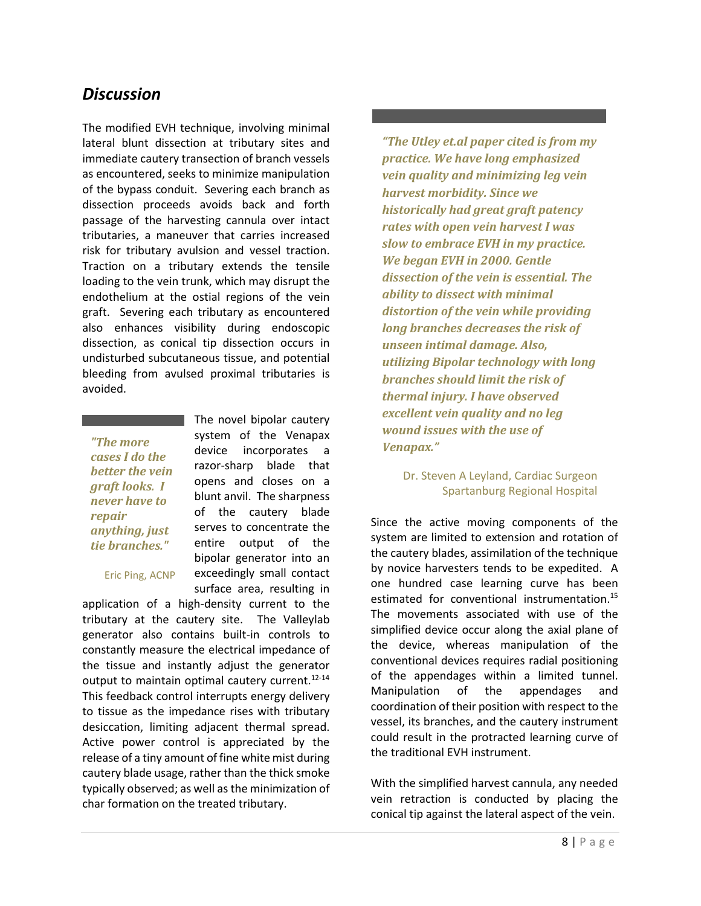### *Discussion*

The modified EVH technique, involving minimal lateral blunt dissection at tributary sites and immediate cautery transection of branch vessels as encountered, seeks to minimize manipulation of the bypass conduit. Severing each branch as dissection proceeds avoids back and forth passage of the harvesting cannula over intact tributaries, a maneuver that carries increased risk for tributary avulsion and vessel traction. Traction on a tributary extends the tensile loading to the vein trunk, which may disrupt the endothelium at the ostial regions of the vein graft. Severing each tributary as encountered also enhances visibility during endoscopic dissection, as conical tip dissection occurs in undisturbed subcutaneous tissue, and potential bleeding from avulsed proximal tributaries is avoided.

*"The more cases I do the better the vein graft looks. I never have to repair anything, just tie branches."* 

Eric Ping, ACNP

The novel bipolar cautery system of the Venapax device incorporates a razor-sharp blade that opens and closes on a blunt anvil. The sharpness of the cautery blade serves to concentrate the entire output of the bipolar generator into an exceedingly small contact surface area, resulting in

application of a high-density current to the tributary at the cautery site. The Valleylab generator also contains built-in controls to constantly measure the electrical impedance of the tissue and instantly adjust the generator output to maintain optimal cautery current.12-14 This feedback control interrupts energy delivery to tissue as the impedance rises with tributary desiccation, limiting adjacent thermal spread. Active power control is appreciated by the release of a tiny amount of fine white mist during cautery blade usage, rather than the thick smoke typically observed; as well as the minimization of char formation on the treated tributary.

*"The Utley et.al paper cited is from my practice. We have long emphasized vein quality and minimizing leg vein harvest morbidity. Since we historically had great graft patency rates with open vein harvest I was slow to embrace EVH in my practice. We began EVH in 2000. Gentle dissection of the vein is essential. The ability to dissect with minimal distortion of the vein while providing long branches decreases the risk of unseen intimal damage. Also, utilizing Bipolar technology with long branches should limit the risk of thermal injury. I have observed excellent vein quality and no leg wound issues with the use of Venapax."*

#### Dr. Steven A Leyland, Cardiac Surgeon Spartanburg Regional Hospital

Since the active moving components of the system are limited to extension and rotation of the cautery blades, assimilation of the technique by novice harvesters tends to be expedited. A one hundred case learning curve has been estimated for conventional instrumentation.<sup>15</sup> The movements associated with use of the simplified device occur along the axial plane of the device, whereas manipulation of the conventional devices requires radial positioning of the appendages within a limited tunnel. Manipulation of the appendages and coordination of their position with respect to the vessel, its branches, and the cautery instrument could result in the protracted learning curve of the traditional EVH instrument.

With the simplified harvest cannula, any needed vein retraction is conducted by placing the conical tip against the lateral aspect of the vein.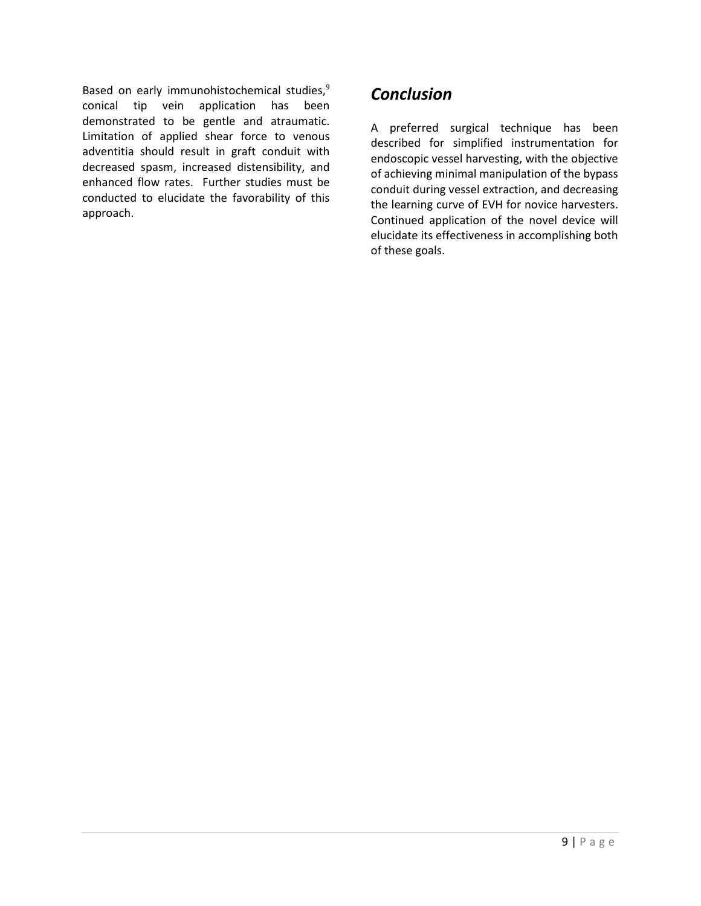Based on early immunohistochemical studies,<sup>9</sup> conical tip vein application has been demonstrated to be gentle and atraumatic. Limitation of applied shear force to venous adventitia should result in graft conduit with decreased spasm, increased distensibility, and enhanced flow rates. Further studies must be conducted to elucidate the favorability of this approach.

### *Conclusion*

A preferred surgical technique has been described for simplified instrumentation for endoscopic vessel harvesting, with the objective of achieving minimal manipulation of the bypass conduit during vessel extraction, and decreasing the learning curve of EVH for novice harvesters. Continued application of the novel device will elucidate its effectiveness in accomplishing both of these goals.